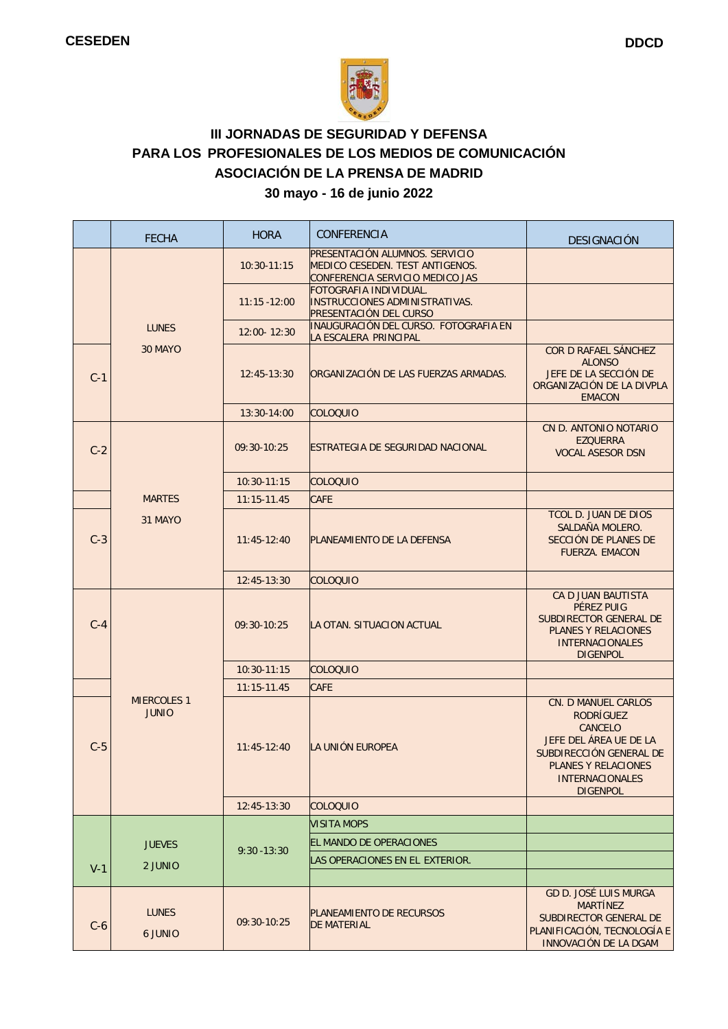



## **III JORNADAS DE SEGURIDAD Y DEFENSA PARA LOS PROFESIONALES DE LOS MEDIOS DE COMUNICACIÓN ASOCIACIÓN DE LA PRENSA DE MADRID**

## **30 mayo - 16 de junio 2022**

|       | <b>FECHA</b>                               | <b>HORA</b>                     | <b>CONFERENCIA</b>                                                                                          | DESIGNACIÓN                                                                                                                                                                 |
|-------|--------------------------------------------|---------------------------------|-------------------------------------------------------------------------------------------------------------|-----------------------------------------------------------------------------------------------------------------------------------------------------------------------------|
|       | <b>LUNES</b><br>30 MAYO                    | $10:30-11:15$                   | PRESENTACIÓN ALUMNOS. SERVICIO<br><b>MEDICO CESEDEN. TEST ANTIGENOS.</b><br>CONFERENCIA SERVICIO MEDICO JAS |                                                                                                                                                                             |
|       |                                            | $11:15 - 12:00$                 | FOTOGRAFIA INDIVIDUAL.<br>INSTRUCCIONES ADMINISTRATIVAS.<br>PRESENTACIÓN DEL CURSO                          |                                                                                                                                                                             |
|       |                                            | 12:00-12:30                     | INAUGURACIÓN DEL CURSO. FOTOGRAFIA EN<br>LA ESCALERA PRINCIPAL                                              |                                                                                                                                                                             |
| $C-1$ |                                            | 12:45-13:30                     | ORGANIZACIÓN DE LAS FUERZAS ARMADAS.                                                                        | COR D RAFAEL SÁNCHEZ<br><b>ALONSO</b><br>JEFE DE LA SECCIÓN DE<br>ORGANIZACIÓN DE LA DIVPLA<br><b>EMACON</b>                                                                |
|       |                                            | 13:30-14:00                     | <b>COLOQUIO</b>                                                                                             |                                                                                                                                                                             |
| $C-2$ |                                            | 09:30-10:25                     | <b>ESTRATEGIA DE SEGURIDAD NACIONAL</b>                                                                     | CN D. ANTONIO NOTARIO<br><b>EZQUERRA</b><br><b>VOCAL ASESOR DSN</b>                                                                                                         |
|       |                                            | 10:30-11:15                     | <b>COLOQUIO</b>                                                                                             |                                                                                                                                                                             |
|       | <b>MARTES</b>                              | $11:15 - 11.45$                 | <b>CAFE</b>                                                                                                 |                                                                                                                                                                             |
| $C-3$ | 31 MAYO                                    | $11:45-12:40$                   | PLANEAMIENTO DE LA DEFENSA                                                                                  | TCOL D. JUAN DE DIOS<br>SALDAÑA MOLERO.<br>SECCIÓN DE PLANES DE<br><b>FUERZA. EMACON</b>                                                                                    |
|       |                                            | 12:45-13:30                     | <b>COLOQUIO</b>                                                                                             |                                                                                                                                                                             |
| $C-4$ |                                            | 09:30-10:25                     | LA OTAN. SITUACION ACTUAL                                                                                   | CA D JUAN BAUTISTA<br>PÉREZ PUIG<br>SUBDIRECTOR GENERAL DE<br><b>PLANES Y RELACIONES</b><br><b>INTERNACIONALES</b><br><b>DIGENPOL</b>                                       |
|       |                                            | 10:30-11:15                     | <b>COLOQUIO</b>                                                                                             |                                                                                                                                                                             |
|       |                                            | $11:15 - 11.45$                 | <b>CAFE</b>                                                                                                 |                                                                                                                                                                             |
| $C-5$ | <b>MIERCOLES 1</b><br><b>JUNIO</b>         | $11:45-12:40$                   | LA UNIÓN EUROPEA                                                                                            | CN. D MANUEL CARLOS<br><b>RODRÍGUEZ</b><br>CANCELO<br>JEFE DEL ÁREA UE DE LA<br>SUBDIRECCIÓN GENERAL DE<br>PLANES Y RELACIONES<br><b>INTERNACIONALES</b><br><b>DIGENPOL</b> |
|       |                                            | 12:45-13:30                     | <b>COLOQUIO</b>                                                                                             |                                                                                                                                                                             |
|       |                                            |                                 | VISITA MOPS                                                                                                 |                                                                                                                                                                             |
|       | <b>JUEVES</b><br>$9:30 - 13:30$<br>2 JUNIO |                                 | EL MANDO DE OPERACIONES                                                                                     |                                                                                                                                                                             |
|       |                                            | LAS OPERACIONES EN EL EXTERIOR. |                                                                                                             |                                                                                                                                                                             |
| $V-1$ |                                            |                                 |                                                                                                             |                                                                                                                                                                             |
| $C-6$ | <b>LUNES</b><br>6 JUNIO                    | $09:30-10:25$                   | PLANEAMIENTO DE RECURSOS<br><b>DE MATERIAL</b>                                                              | <b>GD D. JOSÉ LUIS MURGA</b><br><b>MARTÍNEZ</b><br>SUBDIRECTOR GENERAL DE<br>PLANIFICACIÓN, TECNOLOGÍA E<br>INNOVACIÓN DE LA DGAM                                           |